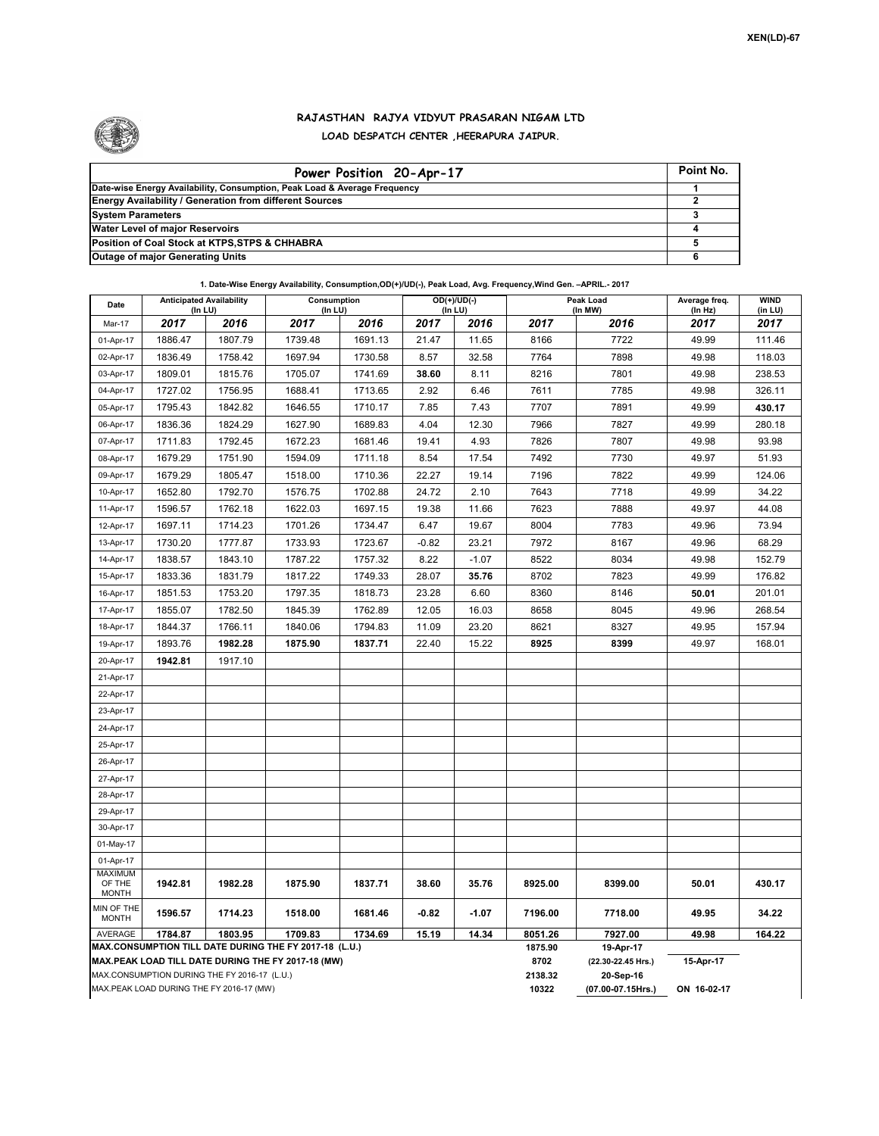

## **RAJASTHAN RAJYA VIDYUT PRASARAN NIGAM LTD LOAD DESPATCH CENTER ,HEERAPURA JAIPUR.**

| Power Position 20-Apr-17                                                  | Point No. |  |  |  |  |  |  |  |
|---------------------------------------------------------------------------|-----------|--|--|--|--|--|--|--|
| Date-wise Energy Availability, Consumption, Peak Load & Average Frequency |           |  |  |  |  |  |  |  |
| <b>Energy Availability / Generation from different Sources</b>            |           |  |  |  |  |  |  |  |
| <b>System Parameters</b>                                                  |           |  |  |  |  |  |  |  |
| <b>Water Level of major Reservoirs</b>                                    |           |  |  |  |  |  |  |  |
| Position of Coal Stock at KTPS, STPS & CHHABRA                            |           |  |  |  |  |  |  |  |
| <b>Outage of major Generating Units</b>                                   |           |  |  |  |  |  |  |  |

**1. Date-Wise Energy Availability, Consumption,OD(+)/UD(-), Peak Load, Avg. Frequency,Wind Gen. –APRIL.- 2017**

| Date                                     | <b>Anticipated Availability</b><br>$($ In LU $)$ |         | Consumption<br>(In LU)                                                                                       |                 | OD(+)/UD(-)<br>(In LU)          |             | Peak Load<br>(In MW) |           | Average freq.<br>(In Hz) | <b>WIND</b><br>(in LU) |
|------------------------------------------|--------------------------------------------------|---------|--------------------------------------------------------------------------------------------------------------|-----------------|---------------------------------|-------------|----------------------|-----------|--------------------------|------------------------|
| Mar-17                                   | 2017                                             | 2016    | 2017                                                                                                         | 2016            | 2017                            | 2016        | 2017                 | 2016      | 2017                     | 2017                   |
| 01-Apr-17                                | 1886.47                                          | 1807.79 | 1739.48                                                                                                      | 1691.13         | 21.47                           | 11.65       | 8166                 | 7722      | 49.99                    | 111.46                 |
| 02-Apr-17                                | 1836.49                                          | 1758.42 | 1697.94                                                                                                      | 1730.58         | 8.57                            | 32.58       | 7764                 | 7898      | 49.98                    | 118.03                 |
| 03-Apr-17                                | 1809.01                                          | 1815.76 | 1705.07                                                                                                      | 1741.69         | 38.60                           | 8.11        | 8216                 | 7801      | 49.98                    | 238.53                 |
| 04-Apr-17                                | 1727.02                                          | 1756.95 | 1688.41                                                                                                      | 1713.65         | 2.92                            | 6.46        | 7611                 | 7785      | 49.98                    | 326.11                 |
| 05-Apr-17                                | 1795.43                                          | 1842.82 | 1646.55                                                                                                      | 1710.17         | 7.85                            | 7.43        | 7707                 | 7891      | 49.99                    | 430.17                 |
| 06-Apr-17                                | 1836.36                                          | 1824.29 | 1627.90                                                                                                      | 1689.83         | 4.04                            | 12.30       | 7966                 | 7827      | 49.99                    | 280.18                 |
| 07-Apr-17                                | 1711.83                                          | 1792.45 | 1672.23                                                                                                      | 1681.46         | 19.41                           | 4.93        | 7826                 | 7807      | 49.98                    | 93.98                  |
| 08-Apr-17                                | 1679.29                                          | 1751.90 | 1594.09                                                                                                      | 1711.18         | 8.54                            | 17.54       | 7492                 | 7730      | 49.97                    | 51.93                  |
| 09-Apr-17                                | 1679.29                                          | 1805.47 | 1518.00                                                                                                      | 1710.36         | 22.27                           | 19.14       | 7196                 | 7822      | 49.99                    | 124.06                 |
| 10-Apr-17                                | 1652.80                                          | 1792.70 | 1576.75                                                                                                      | 1702.88         | 24.72                           | 2.10        | 7643                 | 7718      | 49.99                    | 34.22                  |
| 11-Apr-17                                | 1596.57                                          | 1762.18 | 1622.03                                                                                                      | 1697.15         | 19.38                           | 11.66       | 7623                 | 7888      | 49.97                    | 44.08                  |
| 12-Apr-17                                | 1697.11                                          | 1714.23 | 1701.26                                                                                                      | 1734.47         | 6.47                            | 19.67       | 8004                 | 7783      | 49.96                    | 73.94                  |
| 13-Apr-17                                | 1730.20                                          | 1777.87 | 1733.93                                                                                                      | 1723.67         | $-0.82$                         | 23.21       | 7972                 | 8167      | 49.96                    | 68.29                  |
| 14-Apr-17                                | 1838.57                                          | 1843.10 | 1787.22                                                                                                      | 1757.32         | 8.22                            | $-1.07$     | 8522                 | 8034      | 49.98                    | 152.79                 |
| 15-Apr-17                                | 1833.36                                          | 1831.79 | 1817.22                                                                                                      | 1749.33         | 28.07                           | 35.76       | 8702                 | 7823      | 49.99                    | 176.82                 |
| 16-Apr-17                                | 1851.53                                          | 1753.20 | 1797.35                                                                                                      | 1818.73         | 23.28                           | 6.60        | 8360                 | 8146      | 50.01                    | 201.01                 |
| 17-Apr-17                                | 1855.07                                          | 1782.50 | 1845.39                                                                                                      | 1762.89         | 12.05                           | 16.03       | 8658                 | 8045      | 49.96                    | 268.54                 |
| 18-Apr-17                                | 1844.37                                          | 1766.11 | 1840.06                                                                                                      | 1794.83         | 11.09                           | 23.20       | 8621                 | 8327      | 49.95                    | 157.94                 |
| 19-Apr-17                                | 1893.76                                          | 1982.28 | 1875.90                                                                                                      | 1837.71         | 22.40                           | 15.22       | 8925                 | 8399      | 49.97                    | 168.01                 |
| 20-Apr-17                                | 1942.81                                          | 1917.10 |                                                                                                              |                 |                                 |             |                      |           |                          |                        |
| 21-Apr-17                                |                                                  |         |                                                                                                              |                 |                                 |             |                      |           |                          |                        |
| 22-Apr-17                                |                                                  |         |                                                                                                              |                 |                                 |             |                      |           |                          |                        |
| 23-Apr-17                                |                                                  |         |                                                                                                              |                 |                                 |             |                      |           |                          |                        |
| 24-Apr-17                                |                                                  |         |                                                                                                              |                 |                                 |             |                      |           |                          |                        |
| 25-Apr-17                                |                                                  |         |                                                                                                              |                 |                                 |             |                      |           |                          |                        |
| 26-Apr-17                                |                                                  |         |                                                                                                              |                 |                                 |             |                      |           |                          |                        |
| 27-Apr-17                                |                                                  |         |                                                                                                              |                 |                                 |             |                      |           |                          |                        |
| 28-Apr-17                                |                                                  |         |                                                                                                              |                 |                                 |             |                      |           |                          |                        |
| 29-Apr-17                                |                                                  |         |                                                                                                              |                 |                                 |             |                      |           |                          |                        |
| 30-Apr-17                                |                                                  |         |                                                                                                              |                 |                                 |             |                      |           |                          |                        |
| 01-May-17                                |                                                  |         |                                                                                                              |                 |                                 |             |                      |           |                          |                        |
| 01-Apr-17                                |                                                  |         |                                                                                                              |                 |                                 |             |                      |           |                          |                        |
| <b>MAXIMUM</b><br>OF THE<br><b>MONTH</b> | 1942.81                                          | 1982.28 | 1875.90                                                                                                      | 1837.71         | 38.60                           | 35.76       | 8925.00              | 8399.00   | 50.01                    | 430.17                 |
| MIN OF THE<br><b>MONTH</b>               | 1596.57                                          | 1714.23 | 1518.00                                                                                                      | 1681.46         | $-0.82$                         | $-1.07$     | 7196.00              | 7718.00   | 49.95                    | 34.22                  |
| AVERAGE                                  | 1784.87                                          | 1803.95 | 1709.83                                                                                                      | 1734.69         | 15.19                           | 14.34       | 8051.26              | 7927.00   | 49.98                    | 164.22                 |
|                                          |                                                  |         | MAX.CONSUMPTION TILL DATE DURING THE FY 2017-18 (L.U.)<br>MAX.PEAK LOAD TILL DATE DURING THE FY 2017-18 (MW) | 1875.90<br>8702 | 19-Apr-17<br>(22.30-22.45 Hrs.) | 15-Apr-17   |                      |           |                          |                        |
|                                          | MAX.CONSUMPTION DURING THE FY 2016-17 (L.U.)     |         |                                                                                                              |                 |                                 |             | 2138.32              | 20-Sep-16 |                          |                        |
|                                          | MAX.PEAK LOAD DURING THE FY 2016-17 (MW)         |         |                                                                                                              | 10322           | (07.00-07.15Hrs.)               | ON 16-02-17 |                      |           |                          |                        |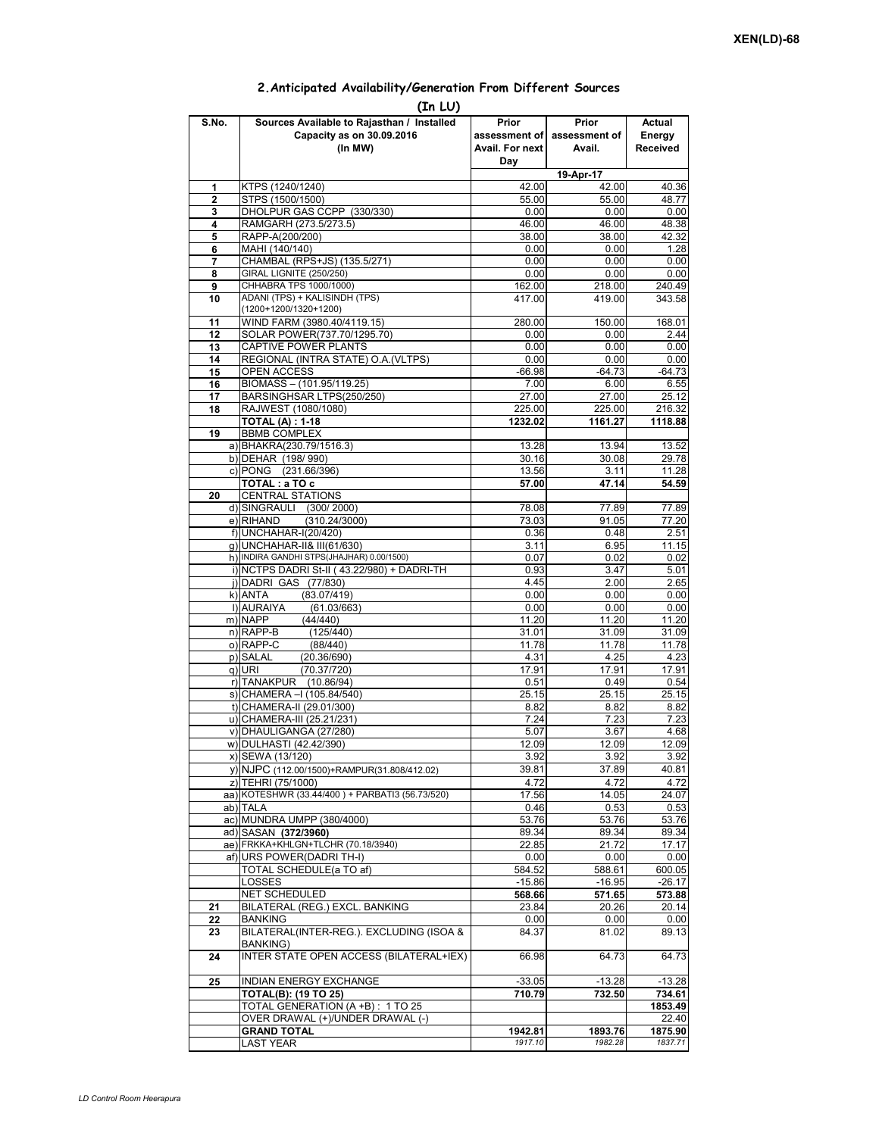| 2. Anticipated Availability/Generation From Different Sources |  |  |  |  |  |
|---------------------------------------------------------------|--|--|--|--|--|
|---------------------------------------------------------------|--|--|--|--|--|

| (In LU)                 |                                                                                    |                                                  |                                  |                                     |  |  |  |  |  |  |
|-------------------------|------------------------------------------------------------------------------------|--------------------------------------------------|----------------------------------|-------------------------------------|--|--|--|--|--|--|
| S.No.                   | Sources Available to Rajasthan / Installed<br>Capacity as on 30.09.2016<br>(In MW) | Prior<br>assessment of<br>Avail. For next<br>Day | Prior<br>assessment of<br>Avail. | <b>Actual</b><br>Energy<br>Received |  |  |  |  |  |  |
|                         |                                                                                    |                                                  | 19-Apr-17                        |                                     |  |  |  |  |  |  |
| 1                       | KTPS (1240/1240)                                                                   | 42.00                                            | 42.00                            | 40.36                               |  |  |  |  |  |  |
| $\overline{\mathbf{2}}$ | STPS (1500/1500)                                                                   | 55.00                                            | 55.00                            | 48.77                               |  |  |  |  |  |  |
| 3                       | DHOLPUR GAS CCPP (330/330)                                                         | 0.00                                             | 0.00                             | 0.00                                |  |  |  |  |  |  |
| 4<br>5                  | RAMGARH (273.5/273.5)<br>RAPP-A(200/200)                                           | 46.00<br>38.00                                   | 46.00<br>38.00                   | 48.38<br>42.32                      |  |  |  |  |  |  |
| 6                       | MAHI (140/140)                                                                     | 0.00                                             | 0.00                             | 1.28                                |  |  |  |  |  |  |
| 7                       | CHAMBAL (RPS+JS) (135.5/271)                                                       | 0.00                                             | 0.00                             | 0.00                                |  |  |  |  |  |  |
| 8                       | <b>GIRAL LIGNITE (250/250)</b>                                                     | 0.00                                             | 0.00                             | 0.00                                |  |  |  |  |  |  |
| 9                       | CHHABRA TPS 1000/1000)                                                             | 162.00                                           | 218.00                           | 240.49                              |  |  |  |  |  |  |
| 10                      | ADANI (TPS) + KALISINDH (TPS)                                                      | 417.00                                           | 419.00                           | 343.58                              |  |  |  |  |  |  |
|                         | (1200+1200/1320+1200)                                                              |                                                  |                                  |                                     |  |  |  |  |  |  |
| 11                      | WIND FARM (3980.40/4119.15)                                                        | 280.00                                           | 150.00                           | 168.01                              |  |  |  |  |  |  |
| 12                      | SOLAR POWER(737.70/1295.70)                                                        | 0.00                                             | 0.00                             | 2.44                                |  |  |  |  |  |  |
| 13<br>14                | CAPTIVE POWER PLANTS                                                               | 0.00                                             | 0.00                             | 0.00                                |  |  |  |  |  |  |
| 15                      | REGIONAL (INTRA STATE) O.A. (VLTPS)<br><b>OPEN ACCESS</b>                          | 0.00<br>$-66.98$                                 | 0.00<br>$-64.73$                 | 0.00<br>$-64.73$                    |  |  |  |  |  |  |
| 16                      | BIOMASS - (101.95/119.25)                                                          | 7.00                                             | 6.00                             | 6.55                                |  |  |  |  |  |  |
| 17                      | BARSINGHSAR LTPS(250/250)                                                          | 27.00                                            | 27.00                            | 25.12                               |  |  |  |  |  |  |
| 18                      | RAJWEST (1080/1080)                                                                | 225.00                                           | 225.00                           | 216.32                              |  |  |  |  |  |  |
|                         | <b>TOTAL (A): 1-18</b>                                                             | 1232.02                                          | 1161.27                          | 1118.88                             |  |  |  |  |  |  |
| 19                      | <b>BBMB COMPLEX</b>                                                                |                                                  |                                  |                                     |  |  |  |  |  |  |
|                         | a) BHAKRA(230.79/1516.3)                                                           | 13.28                                            | 13.94                            | 13.52                               |  |  |  |  |  |  |
|                         | b) DEHAR (198/990)                                                                 | 30.16                                            | 30.08                            | 29.78                               |  |  |  |  |  |  |
|                         | c) PONG (231.66/396)                                                               | 13.56                                            | 3.11                             | 11.28                               |  |  |  |  |  |  |
|                         | TOTAL : a TO c                                                                     | 57.00                                            | 47.14                            | 54.59                               |  |  |  |  |  |  |
| 20                      | <b>CENTRAL STATIONS</b>                                                            |                                                  |                                  |                                     |  |  |  |  |  |  |
|                         | d) SINGRAULI (300/2000)                                                            | 78.08                                            | 77.89                            | 77.89                               |  |  |  |  |  |  |
|                         | e) RIHAND<br>(310.24/3000)<br>f) UNCHAHAR-I(20/420)                                | 73.03<br>0.36                                    | 91.05<br>0.48                    | 77.20<br>2.51                       |  |  |  |  |  |  |
|                         | g) UNCHAHAR-II& III(61/630)                                                        | 3.11                                             | 6.95                             | 11.15                               |  |  |  |  |  |  |
|                         | h) INDIRA GANDHI STPS(JHAJHAR) 0.00/1500)                                          | 0.07                                             | 0.02                             | 0.02                                |  |  |  |  |  |  |
|                         | i) NCTPS DADRI St-II (43.22/980) + DADRI-TH                                        | 0.93                                             | 3.47                             | 5.01                                |  |  |  |  |  |  |
|                         | i) DADRI GAS (77/830)                                                              | 4.45                                             | 2.00                             | 2.65                                |  |  |  |  |  |  |
|                         | k) ANTA<br>(83.07/419)                                                             | 0.00                                             | 0.00                             | 0.00                                |  |  |  |  |  |  |
|                         | I) AURAIYA<br>(61.03/663)                                                          | 0.00                                             | 0.00                             | 0.00                                |  |  |  |  |  |  |
|                         | m) NAPP<br>(44/440)                                                                | 11.20                                            | 11.20                            | 11.20                               |  |  |  |  |  |  |
|                         | $n)$ RAPP-B<br>(125/440)                                                           | 31.01                                            | 31.09                            | 31.09                               |  |  |  |  |  |  |
|                         | o) RAPP-C<br>(88/440)                                                              | 11.78                                            | 11.78                            | 11.78                               |  |  |  |  |  |  |
|                         | p) SALAL<br>(20.36/690)                                                            | 4.31                                             | 4.25                             | 4.23<br>17.91                       |  |  |  |  |  |  |
|                         | q) URI<br>(70.37/720)<br>r) TANAKPUR (10.86/94)                                    | 17.91<br>0.51                                    | 17.91<br>0.49                    | 0.54                                |  |  |  |  |  |  |
|                         | s) CHAMERA - (105.84/540)                                                          | 25.15                                            | 25.15                            | 25.15                               |  |  |  |  |  |  |
|                         | t) CHAMERA-II (29.01/300)                                                          | 8.82                                             | 8.82                             | 8.82                                |  |  |  |  |  |  |
|                         | u) CHAMERA-III (25.21/231)                                                         | 7.24                                             | 7.23                             | 7.23                                |  |  |  |  |  |  |
|                         | v) DHAULIGANGA (27/280)                                                            | 5.07                                             | 3.67                             | 4.68                                |  |  |  |  |  |  |
|                         | w) DULHASTI (42.42/390)                                                            | 12.09                                            | 12.09                            | 12.09                               |  |  |  |  |  |  |
|                         | x) SEWA (13/120)                                                                   | 3.92                                             | 3.92                             | 3.92                                |  |  |  |  |  |  |
|                         | y) NJPC (112.00/1500) + RAMPUR(31.808/412.02)                                      | 39.81                                            | 37.89                            | 40.81                               |  |  |  |  |  |  |
|                         | z) TEHRI (75/1000)                                                                 | 4.72                                             | 4.72                             | 4.72                                |  |  |  |  |  |  |
|                         | aa) KOTESHWR (33.44/400) + PARBATI3 (56.73/520)                                    | 17.56                                            | 14.05                            | 24.07                               |  |  |  |  |  |  |
|                         | ab) TALA                                                                           | 0.46                                             | 0.53                             | 0.53                                |  |  |  |  |  |  |
|                         | ac) MUNDRA UMPP (380/4000)                                                         | 53.76                                            | 53.76                            | 53.76                               |  |  |  |  |  |  |
|                         | ad) SASAN (372/3960)<br>ae) FRKKA+KHLGN+TLCHR (70.18/3940)                         | 89.34<br>22.85                                   | 89.34<br>21.72                   | 89.34<br>17.17                      |  |  |  |  |  |  |
|                         | af) URS POWER(DADRI TH-I)                                                          | 0.00                                             | 0.00                             | 0.00                                |  |  |  |  |  |  |
|                         | TOTAL SCHEDULE(a TO af)                                                            | 584.52                                           | 588.61                           | 600.05                              |  |  |  |  |  |  |
|                         | LOSSES                                                                             | $-15.86$                                         | $-16.95$                         | $-26.17$                            |  |  |  |  |  |  |
|                         | NET SCHEDULED                                                                      | 568.66                                           | 571.65                           | 573.88                              |  |  |  |  |  |  |
| 21                      | BILATERAL (REG.) EXCL. BANKING                                                     | 23.84                                            | 20.26                            | 20.14                               |  |  |  |  |  |  |
| 22                      | BANKING                                                                            | 0.00                                             | 0.00                             | 0.00                                |  |  |  |  |  |  |
| 23                      | BILATERAL(INTER-REG.). EXCLUDING (ISOA &                                           | 84.37                                            | 81.02                            | 89.13                               |  |  |  |  |  |  |
| 24                      | <b>BANKING)</b><br>INTER STATE OPEN ACCESS (BILATERAL+IEX)                         | 66.98                                            | 64.73                            | 64.73                               |  |  |  |  |  |  |
| 25                      | INDIAN ENERGY EXCHANGE                                                             | $-33.05$                                         | $-13.28$                         | $-13.28$                            |  |  |  |  |  |  |
|                         | <b>TOTAL(B): (19 TO 25)</b>                                                        | 710.79                                           | 732.50                           | 734.61                              |  |  |  |  |  |  |
|                         | TOTAL GENERATION (A +B) : 1 TO 25                                                  |                                                  |                                  | 1853.49                             |  |  |  |  |  |  |
|                         | OVER DRAWAL (+)/UNDER DRAWAL (-)                                                   |                                                  |                                  | 22.40                               |  |  |  |  |  |  |
|                         | <b>GRAND TOTAL</b>                                                                 | 1942.81                                          | 1893.76                          | 1875.90                             |  |  |  |  |  |  |
|                         | LAST YEAR                                                                          | 1917.10                                          | 1982.28                          | 1837.71                             |  |  |  |  |  |  |